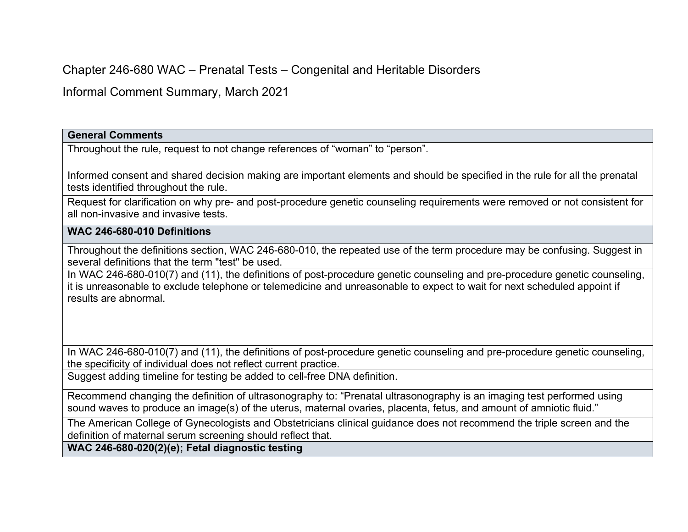Chapter 246-680 WAC – Prenatal Tests – Congenital and Heritable Disorders

Informal Comment Summary, March 2021

**General Comments** 

Throughout the rule, request to not change references of "woman" to "person".

Informed consent and shared decision making are important elements and should be specified in the rule for all the prenatal tests identified throughout the rule.

Request for clarification on why pre- and post-procedure genetic counseling requirements were removed or not consistent for all non-invasive and invasive tests.

## **WAC 246-680-010 Definitions**

Throughout the definitions section, WAC 246-680-010, the repeated use of the term procedure may be confusing. Suggest in several definitions that the term "test" be used.

In WAC 246-680-010(7) and (11), the definitions of post-procedure genetic counseling and pre-procedure genetic counseling, it is unreasonable to exclude telephone or telemedicine and unreasonable to expect to wait for next scheduled appoint if results are abnormal.

In WAC 246-680-010(7) and (11), the definitions of post-procedure genetic counseling and pre-procedure genetic counseling, the specificity of individual does not reflect current practice.

Suggest adding timeline for testing be added to cell-free DNA definition.

Recommend changing the definition of ultrasonography to: "Prenatal ultrasonography is an imaging test performed using sound waves to produce an image(s) of the uterus, maternal ovaries, placenta, fetus, and amount of amniotic fluid."

The American College of Gynecologists and Obstetricians clinical guidance does not recommend the triple screen and the definition of maternal serum screening should reflect that.

**WAC 246-680-020(2)(e); Fetal diagnostic testing**